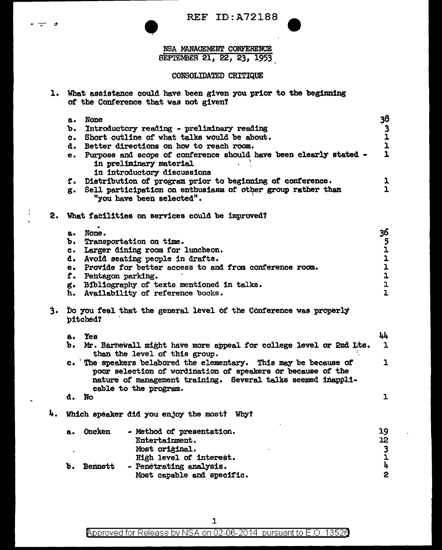REF ID:A721BB

REF ID: A7218 SEPTEMBER 21, 22, 23, 1953

## CONSOLIDATED CRITIQUE

l. What assistance could have been given you prior to the beginning or the Conference that was not given?

d

Ţ

|    | а.         | None                                                                                                                                                                                                                     | 38                                         |
|----|------------|--------------------------------------------------------------------------------------------------------------------------------------------------------------------------------------------------------------------------|--------------------------------------------|
|    | ъ.         | Introductory reading - preliminary reading                                                                                                                                                                               |                                            |
|    | $\alpha$ . | Short outline of what talks would be about.                                                                                                                                                                              | $\begin{array}{c} 3 \\ 1 \\ 1 \end{array}$ |
|    | d.         | Better directions on how to reach room.                                                                                                                                                                                  |                                            |
|    | e.         | Purpose and scope of conference should have been clearly stated -<br>in preliminary material<br>in introductory discussions                                                                                              | $\mathbf{1}$                               |
|    | f.         | Distribution of program prior to beginning of conference.                                                                                                                                                                | ı                                          |
|    | g.         | Sell participation on enthusiasm of other group rather than<br>"you have been selected".                                                                                                                                 | $\mathbf{1}$                               |
| 2. |            | What facilities on services could be improved?                                                                                                                                                                           |                                            |
|    | а.         | None.                                                                                                                                                                                                                    | 36                                         |
|    | ъ.         | Transportation on time.                                                                                                                                                                                                  |                                            |
|    | C.         | Larger dining room for luncheon.                                                                                                                                                                                         | $\frac{5}{1}$                              |
|    | a.,        | Avoid seating people in drafts.                                                                                                                                                                                          | $\mathbf{1}$                               |
|    | e.         | Provide for better access to and from conference room.                                                                                                                                                                   | $\mathbf{1}$                               |
|    | f.         | Pentagon parking.                                                                                                                                                                                                        | $\mathbf{1}$                               |
|    |            | g. Bibliography of texts mentioned in talks.                                                                                                                                                                             | ı                                          |
|    | h.         | Availability of reference books.                                                                                                                                                                                         | $\mathbf{I}$                               |
| 3. |            | Do you feel that the general level of the Conference was properly<br>pitched?                                                                                                                                            |                                            |
|    | å.         | Yea                                                                                                                                                                                                                      | 44                                         |
|    | ъ.         | Mr. Barnewall might have more appeal for college level or 2nd Lts.<br>than the level of this group.                                                                                                                      | $\mathbf{1}$                               |
|    |            | c. The speakers belabored the elementary. This may be because of<br>poor selection of wordination of speakers or because of the<br>nature of management training. Several talks seemed inappli-<br>cable to the program. | $\mathbf{1}$                               |
|    | d.         | <b>No</b>                                                                                                                                                                                                                | $\mathbf{1}$                               |
| 4. |            | Which speaker did you enjoy the most? Why?                                                                                                                                                                               |                                            |
|    | а.         | <b>Oncken</b><br>- Method of presentation.                                                                                                                                                                               | 19                                         |
|    |            | Entertainment.                                                                                                                                                                                                           | 12                                         |
|    |            | Most original.                                                                                                                                                                                                           |                                            |
|    |            | High level of interest.                                                                                                                                                                                                  |                                            |
|    | Ъ.         | <b>Bennett</b><br>- Penetrating analysis.                                                                                                                                                                                | $\frac{3}{4}$                              |
|    |            | Most capable and specific.                                                                                                                                                                                               | 2                                          |

Approved for Release by NSA on 02-06-2014 pursuant to E.O. 13526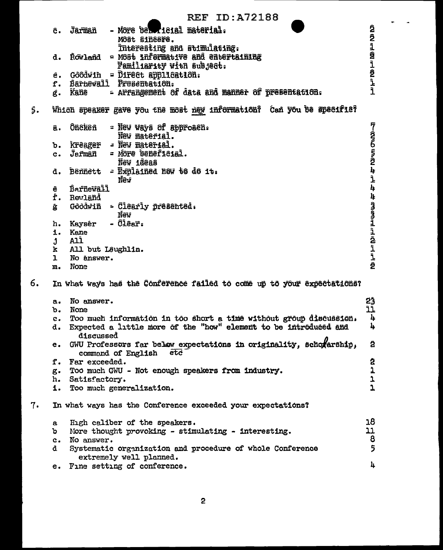**REF ID: A72188** תה היו מה Ĵārīmañ - More belonicial material. ĉ. Môst siñeere. Interesting and stimulating. Rowland = Most informative and entertaining d. ات<br>نو<br>اند Familiarity with subject.  $G\partial\bar{\partial}\bar{w}$ in = Direct application: è. Barnewall Presentation. f. ì - Arrangement of data and manner of presentation. Kane ĝ. 5. Which speaker gave you the most new information? Can you be specifie? **FCCCCERCL 4 ôneken** = New ways of approach. â. New material. kreager - New material. ъ. Jeřmañ - More beneficial.  $c_{\bullet}$ New ideas d. Bênnett - Explained new to de it. New ī, **Barnevall** è  $\mathbf{u}$ f. Revland תחוניות וכן וכן ירן Goodwin = Clearly presented. ĝ New - Clear. h. Kaysér i. Kane All. Ĵ All but Laughlin. k ī ı No answer. ĝ. m. None 6. In what ways has the Conference failed to come up to your expectations? 23 No answer.  $R_{\bullet}$ ĩi None ъ. Too much information in too short a time without group discussion. 4  $c_{\bullet}$ 4 Expected a little more of the "how" element to be introduced and d. discussed e. GWU Professors far belew expectations in originality. Schowarship. 2 command of English  $etc$ Ż f. Far exceeded. ı g. Too much GWU - Not enough speakers from industry. ı h. Satisfactory.  $\mathbf{L}$ 1. Too much generalization.  $7.$ In what ways has the Conference exceeded your expectations? 18 High caliber of the speakers.  $\mathbf{a}$ 11 Nore thought provoking - stimulating - interesting. ъ 8 c. No answer. 5 Systematic organization and procedure of whole Conference đ. extremely well planned. 4 e. Fine setting of conference.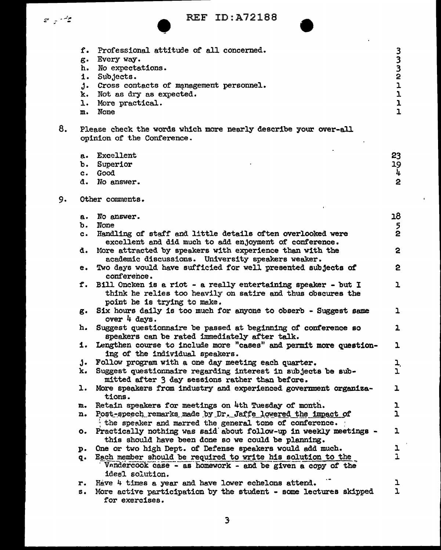|    | v | ۰,<br>۰. |
|----|---|----------|
| __ |   |          |

## • REF ID:A721BB

|    | f.             | Professional attitude of all concerned.                                                                                                      |                                |
|----|----------------|----------------------------------------------------------------------------------------------------------------------------------------------|--------------------------------|
|    | ε.             | Every way.                                                                                                                                   | こととりこと                         |
|    | h.             | No expectations.                                                                                                                             |                                |
|    | i.             | Subjects.                                                                                                                                    |                                |
|    | j.             | Cross contacts of management personnel.                                                                                                      |                                |
|    | k.             | Not as dry as expected.                                                                                                                      |                                |
|    | ı.             | More practical.                                                                                                                              | $\mathbf{1}$<br>$\overline{1}$ |
|    | m.             | <b>None</b>                                                                                                                                  |                                |
| 8. |                | Please check the words which more nearly describe your over-all                                                                              |                                |
|    |                | opinion of the Conference.                                                                                                                   |                                |
|    | $\mathbf{a}$ . | Excellent                                                                                                                                    | 23                             |
|    | ъ.             | Superior                                                                                                                                     | 19                             |
|    |                | c. Good                                                                                                                                      | 4                              |
|    |                | d. No answer.                                                                                                                                | $\overline{2}$                 |
| 9. |                | Other comments.                                                                                                                              |                                |
|    |                |                                                                                                                                              |                                |
|    | а.             | No answer.                                                                                                                                   | 18                             |
|    | ъ.             | <b>None</b>                                                                                                                                  | $\frac{5}{2}$                  |
|    | $\mathbf{c}$ . | Handling of staff and little details often overlooked were<br>excellent and did much to add enjoyment of conference.                         |                                |
|    | d.             | More attracted by speakers with experience than with the                                                                                     | $\mathbf{c}$                   |
|    |                | academic discussions. University speakers weaker.                                                                                            |                                |
|    | е.             | Two days would have sufficied for well presented subjects of<br>conference.                                                                  | 2                              |
|    | f.             | Bill Oncken is a riot - a really entertaining speaker - but I<br>think he relies too heavily on satire and thus obscures the                 | ı                              |
|    |                | point he is trying to make.                                                                                                                  |                                |
|    | g.             | Six hours daily is too much for anyone to obserb - Suggest same<br>over 4 days.                                                              | ı                              |
|    | h.             | Suggest questionnaire be passed at beginning of conference so                                                                                | ı                              |
|    |                | speakers can be rated immediately after talk.                                                                                                |                                |
|    | 1. .           | Lengthen course to include more "cases" and permit more question-<br>ing of the individual speakers.                                         | ı                              |
|    | J.             | Follow program with a one day meeting each quarter.                                                                                          | $\mathbf{L}$                   |
|    | k.             | Suggest questionnaire regarding interest in subjects be sub-                                                                                 | ı                              |
|    |                | mitted after 3 day sessions rather than before.                                                                                              |                                |
|    | ı.             | More speakers from industry and experienced government organiza-<br>tions.                                                                   | ı                              |
|    | n.             | Retain speakers for meetings on 4th Tuesday of month.                                                                                        | ı                              |
|    | n.             | Post-speech remarks made by Dr. Jaffe lowered the impact of                                                                                  | ı                              |
|    |                | the speaker and marred the general tone of conference.                                                                                       |                                |
|    | о.             | Practically nothing was said about follow-up in weekly meetings -<br>this should have been done so we could be planning.                     | 1                              |
|    | p.             | One or two high Dept. of Defense speakers would add much.                                                                                    | ı                              |
|    | q.             | Each member should be required to write his solution to the<br>Vandercook case - as homework - and be given a copy of the<br>ideal solution. | $\mathbf{r}$                   |
|    | r.             | Have 4 times a year and have lower echelons attend.                                                                                          | ı                              |
|    | S.             | More active participation by the student - some lectures skipped                                                                             | $\mathbf{L}$                   |
|    |                | for exercises.                                                                                                                               |                                |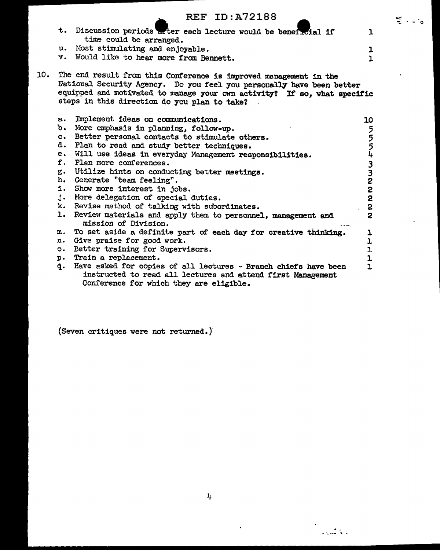|     |    | <b>REF ID: A72188</b>                                                                                                                                                                                                                                                  |                                                | $\sim 10$ |
|-----|----|------------------------------------------------------------------------------------------------------------------------------------------------------------------------------------------------------------------------------------------------------------------------|------------------------------------------------|-----------|
|     |    | t. Discussion periods after each lecture would be beneficial if                                                                                                                                                                                                        | ı                                              |           |
|     |    | time could be arranged.                                                                                                                                                                                                                                                |                                                |           |
|     |    | u. Most stimulating and enjoyable.                                                                                                                                                                                                                                     | ı                                              |           |
|     |    | v. Would like to hear more from Bennett.                                                                                                                                                                                                                               | ı                                              |           |
| 10. |    | The end result from this Conference is improved menagement in the<br>National Security Agency. Do you feel you personally have been better<br>equipped and motivated to manage your own activity? If so, what specific<br>steps in this direction do you plan to take? |                                                |           |
|     | a. | Implement ideas on communications.                                                                                                                                                                                                                                     | 10                                             |           |
|     |    | b. More emphasis in planning, follow-up.                                                                                                                                                                                                                               | 5                                              |           |
|     |    | c. Better personal contacts to stimulate others.                                                                                                                                                                                                                       |                                                |           |
|     |    | d. Plan to read and study better techniques.                                                                                                                                                                                                                           |                                                |           |
|     |    | e. Will use ideas in everyday Management responsibilities.                                                                                                                                                                                                             | 5<br>5<br>4                                    |           |
|     |    | f. Plan more conferences.                                                                                                                                                                                                                                              |                                                |           |
|     |    | g. Utilize hints on conducting better meetings.                                                                                                                                                                                                                        | $\begin{array}{c}\n 3 \\ 2 \\ 2\n \end{array}$ |           |
|     |    | h. Generate "team feeling".                                                                                                                                                                                                                                            |                                                |           |
|     |    | i. Show more interest in jobs.                                                                                                                                                                                                                                         |                                                |           |
|     |    | j. More delegation of special duties.                                                                                                                                                                                                                                  | 2                                              |           |
|     |    | k. Revise method of talking with subordinates.                                                                                                                                                                                                                         | 2                                              |           |
|     |    | 1. Review materials and apply them to personnel, management and<br>mission of Division.                                                                                                                                                                                | $\overline{2}$                                 |           |
|     |    | m. To set aside a definite part of each day for creative thinking.                                                                                                                                                                                                     | ı                                              |           |
|     |    | n. Give praise for good work.                                                                                                                                                                                                                                          | ı                                              |           |
|     |    | o. Better training for Supervisors.                                                                                                                                                                                                                                    | $\overline{\mathbf{1}}$                        |           |
|     |    | p. Train a replacement.                                                                                                                                                                                                                                                | ı                                              |           |
|     |    | q. Have asked for copies of all lectures - Branch chiefs have been<br>instructed to read all lectures and attend first Management<br>Conference for which they are eligible.                                                                                           | J.                                             |           |

(Seven critiques were not returned.)

 $\mathbb{Z}^2$ 

. - ....... - .::, ..